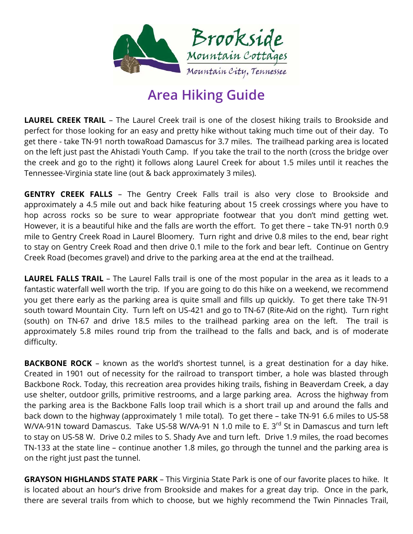

## **Area Hiking Guide**

**LAUREL CREEK TRAIL** – The Laurel Creek trail is one of the closest hiking trails to Brookside and perfect for those looking for an easy and pretty hike without taking much time out of their day. To get there - take TN-91 north towaRoad Damascus for 3.7 miles. The trailhead parking area is located on the left just past the Ahistadi Youth Camp. If you take the trail to the north (cross the bridge over the creek and go to the right) it follows along Laurel Creek for about 1.5 miles until it reaches the Tennessee-Virginia state line (out & back approximately 3 miles).

**GENTRY CREEK FALLS** – The Gentry Creek Falls trail is also very close to Brookside and approximately a 4.5 mile out and back hike featuring about 15 creek crossings where you have to hop across rocks so be sure to wear appropriate footwear that you don't mind getting wet. However, it is a beautiful hike and the falls are worth the effort. To get there – take TN-91 north 0.9 mile to Gentry Creek Road in Laurel Bloomery. Turn right and drive 0.8 miles to the end, bear right to stay on Gentry Creek Road and then drive 0.1 mile to the fork and bear left. Continue on Gentry Creek Road (becomes gravel) and drive to the parking area at the end at the trailhead.

**LAUREL FALLS TRAIL** – The Laurel Falls trail is one of the most popular in the area as it leads to a fantastic waterfall well worth the trip. If you are going to do this hike on a weekend, we recommend you get there early as the parking area is quite small and fills up quickly. To get there take TN-91 south toward Mountain City. Turn left on US-421 and go to TN-67 (Rite-Aid on the right). Turn right (south) on TN-67 and drive 18.5 miles to the trailhead parking area on the left. The trail is approximately 5.8 miles round trip from the trailhead to the falls and back, and is of moderate difficulty.

**BACKBONE ROCK** – known as the world's shortest tunnel, is a great destination for a day hike. Created in 1901 out of necessity for the railroad to transport timber, a hole was blasted through Backbone Rock. Today, this recreation area provides hiking trails, fishing in Beaverdam Creek, a day use shelter, outdoor grills, primitive restrooms, and a large parking area. Across the highway from the parking area is the Backbone Falls loop trail which is a short trail up and around the falls and back down to the highway (approximately 1 mile total). To get there – take TN-91 6.6 miles to US-58 W/VA-91N toward Damascus. Take US-58 W/VA-91 N 1.0 mile to E. 3<sup>rd</sup> St in Damascus and turn left to stay on US-58 W. Drive 0.2 miles to S. Shady Ave and turn left. Drive 1.9 miles, the road becomes TN-133 at the state line – continue another 1.8 miles, go through the tunnel and the parking area is on the right just past the tunnel.

**GRAYSON HIGHLANDS STATE PARK** – This Virginia State Park is one of our favorite places to hike. It is located about an hour's drive from Brookside and makes for a great day trip. Once in the park, there are several trails from which to choose, but we highly recommend the Twin Pinnacles Trail,